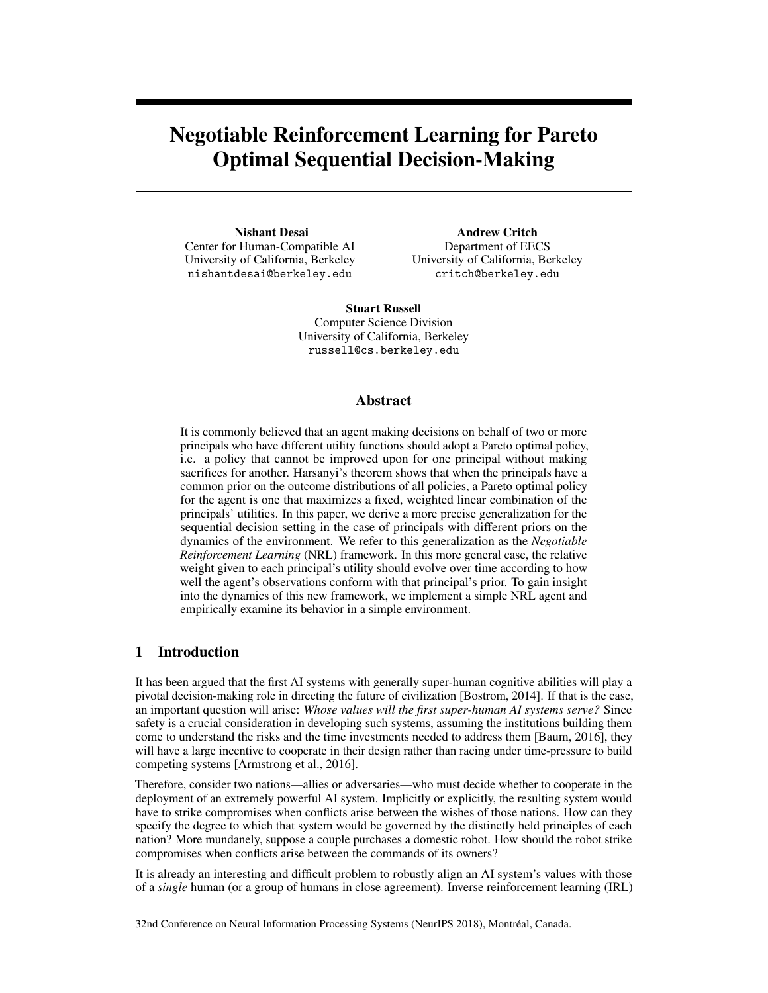# Negotiable Reinforcement Learning for Pareto Optimal Sequential Decision-Making

Nishant Desai Center for Human-Compatible AI University of California, Berkeley nishantdesai@berkeley.edu

Andrew Critch Department of EECS University of California, Berkeley critch@berkeley.edu

Stuart Russell Computer Science Division University of California, Berkeley russell@cs.berkeley.edu

# Abstract

It is commonly believed that an agent making decisions on behalf of two or more principals who have different utility functions should adopt a Pareto optimal policy, i.e. a policy that cannot be improved upon for one principal without making sacrifices for another. Harsanyi's theorem shows that when the principals have a common prior on the outcome distributions of all policies, a Pareto optimal policy for the agent is one that maximizes a fixed, weighted linear combination of the principals' utilities. In this paper, we derive a more precise generalization for the sequential decision setting in the case of principals with different priors on the dynamics of the environment. We refer to this generalization as the *Negotiable Reinforcement Learning* (NRL) framework. In this more general case, the relative weight given to each principal's utility should evolve over time according to how well the agent's observations conform with that principal's prior. To gain insight into the dynamics of this new framework, we implement a simple NRL agent and empirically examine its behavior in a simple environment.

# 1 Introduction

It has been argued that the first AI systems with generally super-human cognitive abilities will play a pivotal decision-making role in directing the future of civilization [Bostrom, 2014]. If that is the case, an important question will arise: *Whose values will the first super-human AI systems serve?* Since safety is a crucial consideration in developing such systems, assuming the institutions building them come to understand the risks and the time investments needed to address them [Baum, 2016], they will have a large incentive to cooperate in their design rather than racing under time-pressure to build competing systems [Armstrong et al., 2016].

Therefore, consider two nations—allies or adversaries—who must decide whether to cooperate in the deployment of an extremely powerful AI system. Implicitly or explicitly, the resulting system would have to strike compromises when conflicts arise between the wishes of those nations. How can they specify the degree to which that system would be governed by the distinctly held principles of each nation? More mundanely, suppose a couple purchases a domestic robot. How should the robot strike compromises when conflicts arise between the commands of its owners?

It is already an interesting and difficult problem to robustly align an AI system's values with those of a *single* human (or a group of humans in close agreement). Inverse reinforcement learning (IRL)

32nd Conference on Neural Information Processing Systems (NeurIPS 2018), Montréal, Canada.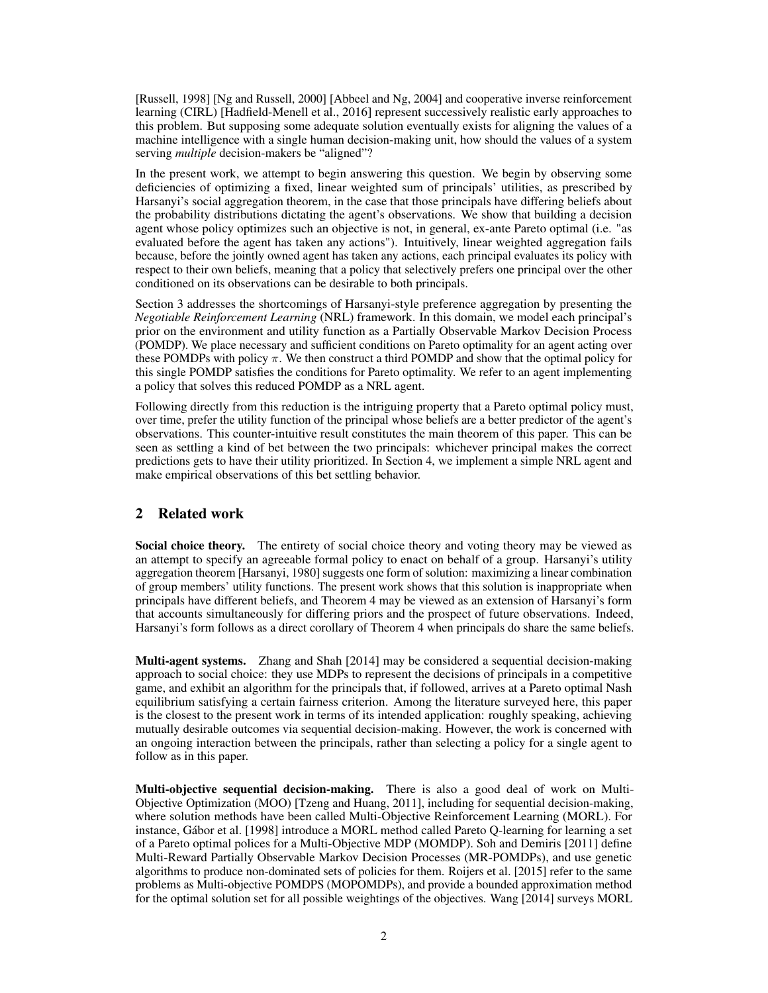[Russell, 1998] [Ng and Russell, 2000] [Abbeel and Ng, 2004] and cooperative inverse reinforcement learning (CIRL) [Hadfield-Menell et al., 2016] represent successively realistic early approaches to this problem. But supposing some adequate solution eventually exists for aligning the values of a machine intelligence with a single human decision-making unit, how should the values of a system serving *multiple* decision-makers be "aligned"?

In the present work, we attempt to begin answering this question. We begin by observing some deficiencies of optimizing a fixed, linear weighted sum of principals' utilities, as prescribed by Harsanyi's social aggregation theorem, in the case that those principals have differing beliefs about the probability distributions dictating the agent's observations. We show that building a decision agent whose policy optimizes such an objective is not, in general, ex-ante Pareto optimal (i.e. "as evaluated before the agent has taken any actions"). Intuitively, linear weighted aggregation fails because, before the jointly owned agent has taken any actions, each principal evaluates its policy with respect to their own beliefs, meaning that a policy that selectively prefers one principal over the other conditioned on its observations can be desirable to both principals.

Section 3 addresses the shortcomings of Harsanyi-style preference aggregation by presenting the *Negotiable Reinforcement Learning* (NRL) framework. In this domain, we model each principal's prior on the environment and utility function as a Partially Observable Markov Decision Process (POMDP). We place necessary and sufficient conditions on Pareto optimality for an agent acting over these POMDPs with policy  $\pi$ . We then construct a third POMDP and show that the optimal policy for this single POMDP satisfies the conditions for Pareto optimality. We refer to an agent implementing a policy that solves this reduced POMDP as a NRL agent.

Following directly from this reduction is the intriguing property that a Pareto optimal policy must, over time, prefer the utility function of the principal whose beliefs are a better predictor of the agent's observations. This counter-intuitive result constitutes the main theorem of this paper. This can be seen as settling a kind of bet between the two principals: whichever principal makes the correct predictions gets to have their utility prioritized. In Section 4, we implement a simple NRL agent and make empirical observations of this bet settling behavior.

# 2 Related work

Social choice theory. The entirety of social choice theory and voting theory may be viewed as an attempt to specify an agreeable formal policy to enact on behalf of a group. Harsanyi's utility aggregation theorem [Harsanyi, 1980] suggests one form of solution: maximizing a linear combination of group members' utility functions. The present work shows that this solution is inappropriate when principals have different beliefs, and Theorem 4 may be viewed as an extension of Harsanyi's form that accounts simultaneously for differing priors and the prospect of future observations. Indeed, Harsanyi's form follows as a direct corollary of Theorem 4 when principals do share the same beliefs.

Multi-agent systems. Zhang and Shah [2014] may be considered a sequential decision-making approach to social choice: they use MDPs to represent the decisions of principals in a competitive game, and exhibit an algorithm for the principals that, if followed, arrives at a Pareto optimal Nash equilibrium satisfying a certain fairness criterion. Among the literature surveyed here, this paper is the closest to the present work in terms of its intended application: roughly speaking, achieving mutually desirable outcomes via sequential decision-making. However, the work is concerned with an ongoing interaction between the principals, rather than selecting a policy for a single agent to follow as in this paper.

Multi-objective sequential decision-making. There is also a good deal of work on Multi-Objective Optimization (MOO) [Tzeng and Huang, 2011], including for sequential decision-making, where solution methods have been called Multi-Objective Reinforcement Learning (MORL). For instance, Gábor et al. [1998] introduce a MORL method called Pareto Q-learning for learning a set of a Pareto optimal polices for a Multi-Objective MDP (MOMDP). Soh and Demiris [2011] define Multi-Reward Partially Observable Markov Decision Processes (MR-POMDPs), and use genetic algorithms to produce non-dominated sets of policies for them. Roijers et al. [2015] refer to the same problems as Multi-objective POMDPS (MOPOMDPs), and provide a bounded approximation method for the optimal solution set for all possible weightings of the objectives. Wang [2014] surveys MORL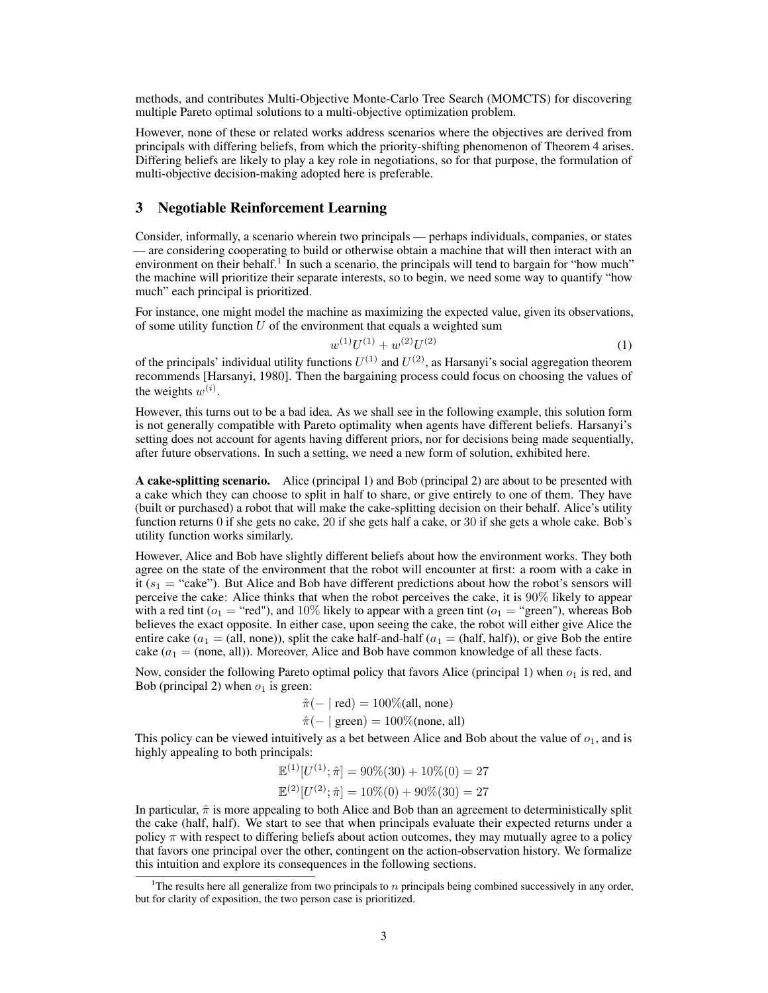methods, and contributes Multi-Objective Monte-Carlo Tree Search (MOMCTS) for discovering multiple Pareto optimal solutions to a multi-objective optimization problem.

However, none of these or related works address scenarios where the objectives are derived from principals with differing beliefs, from which the priority-shifting phenomenon of Theorem 4 arises. Differing beliefs are likely to play a key role in negotiations, so for that purpose, the formulation of multi-objective decision-making adopted here is preferable.

# 3 Negotiable Reinforcement Learning

Consider, informally, a scenario wherein two principals — perhaps individuals, companies, or states — are considering cooperating to build or otherwise obtain a machine that will then interact with an environment on their behalf.<sup>1</sup> In such a scenario, the principals will tend to bargain for "how much" the machine will prioritize their separate interests, so to begin, we need some way to quantify "how much" each principal is prioritized.

For instance, one might model the machine as maximizing the expected value, given its observations, of some utility function  $U$  of the environment that equals a weighted sum

$$
w^{(1)}U^{(1)} + w^{(2)}U^{(2)} \tag{1}
$$

of the principals' individual utility functions  $U^{(1)}$  and  $U^{(2)}$ , as Harsanyi's social aggregation theorem recommends [Harsanyi, 1980]. Then the bargaining process could focus on choosing the values of the weights  $w^{(i)}$ .

However, this turns out to be a bad idea. As we shall see in the following example, this solution form is not generally compatible with Pareto optimality when agents have different beliefs. Harsanyi's setting does not account for agents having different priors, nor for decisions being made sequentially, after future observations. In such a setting, we need a new form of solution, exhibited here.

A cake-splitting scenario. Alice (principal 1) and Bob (principal 2) are about to be presented with a cake which they can choose to split in half to share, or give entirely to one of them. They have (built or purchased) a robot that will make the cake-splitting decision on their behalf. Alice's utility function returns 0 if she gets no cake, 20 if she gets half a cake, or 30 if she gets a whole cake. Bob's utility function works similarly.

However, Alice and Bob have slightly different beliefs about how the environment works. They both agree on the state of the environment that the robot will encounter at first: a room with a cake in it  $(s_1 = "cake")$ . But Alice and Bob have different predictions about how the robot's sensors will perceive the cake: Alice thinks that when the robot perceives the cake, it is 90% likely to appear with a red tint ( $o_1$  = "red"), and 10% likely to appear with a green tint ( $o_1$  = "green"), whereas Bob believes the exact opposite. In either case, upon seeing the cake, the robot will either give Alice the entire cake  $(a_1 = (all, none)$ , split the cake half-and-half  $(a_1 = (half, half))$ , or give Bob the entire cake  $(a_1 = (none, all))$ . Moreover, Alice and Bob have common knowledge of all these facts.

Now, consider the following Pareto optimal policy that favors Alice (principal 1) when  $o<sub>1</sub>$  is red, and Bob (principal 2) when  $o_1$  is green:

$$
\hat{\pi}(- \mid \text{red}) = 100\% \text{(all, none)}
$$

$$
\hat{\pi}(- \mid \text{green}) = 100\% \text{(none, all)}
$$

This policy can be viewed intuitively as a bet between Alice and Bob about the value of  $o<sub>1</sub>$ , and is highly appealing to both principals:

$$
\mathbb{E}^{(1)}[U^{(1)}; \hat{\pi}] = 90\%(30) + 10\%(0) = 27
$$
  

$$
\mathbb{E}^{(2)}[U^{(2)}; \hat{\pi}] = 10\%(0) + 90\%(30) = 27
$$

In particular,  $\hat{\pi}$  is more appealing to both Alice and Bob than an agreement to deterministically split the cake (half, half). We start to see that when principals evaluate their expected returns under a policy  $\pi$  with respect to differing beliefs about action outcomes, they may mutually agree to a policy that favors one principal over the other, contingent on the action-observation history. We formalize this intuition and explore its consequences in the following sections.

<sup>&</sup>lt;sup>1</sup>The results here all generalize from two principals to n principals being combined successively in any order, but for clarity of exposition, the two person case is prioritized.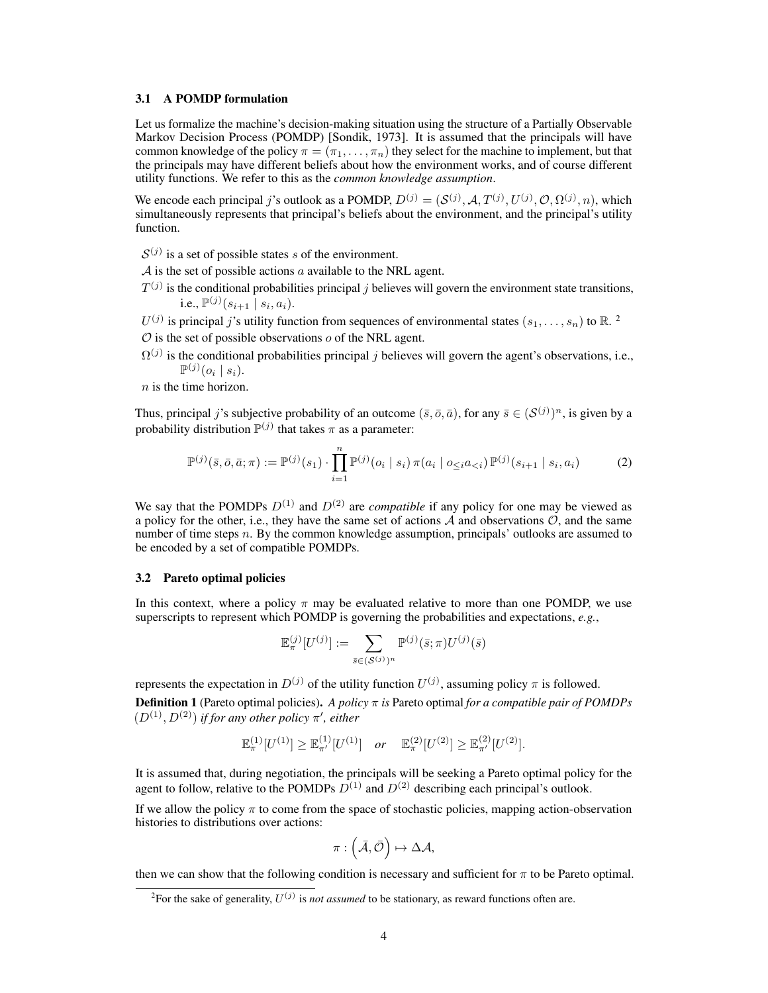### 3.1 A POMDP formulation

Let us formalize the machine's decision-making situation using the structure of a Partially Observable Markov Decision Process (POMDP) [Sondik, 1973]. It is assumed that the principals will have common knowledge of the policy  $\pi = (\pi_1, \dots, \pi_n)$  they select for the machine to implement, but that the principals may have different beliefs about how the environment works, and of course different utility functions. We refer to this as the *common knowledge assumption*.

We encode each principal j's outlook as a POMDP,  $D^{(j)} = (S^{(j)}, A, T^{(j)}, U^{(j)}, \mathcal{O}, \Omega^{(j)}, n)$ , which simultaneously represents that principal's beliefs about the environment, and the principal's utility function.

 $S^{(j)}$  is a set of possible states s of the environment.

 $\mathcal A$  is the set of possible actions a available to the NRL agent.

 $T^{(j)}$  is the conditional probabilities principal j believes will govern the environment state transitions, i.e.,  $\mathbb{P}^{(j)}(s_{i+1} | s_i, a_i)$ .

 $U^{(j)}$  is principal j's utility function from sequences of environmental states  $(s_1, \ldots, s_n)$  to  $\mathbb{R}^2$ .

 $\mathcal O$  is the set of possible observations  $o$  of the NRL agent.

 $\Omega^{(j)}$  is the conditional probabilities principal j believes will govern the agent's observations, i.e.,  $\mathbb{P}^{(j)}(o_i \mid s_i).$ 

 $n$  is the time horizon.

Thus, principal j's subjective probability of an outcome  $(\bar{s}, \bar{o}, \bar{a})$ , for any  $\bar{s} \in (S^{(j)})^n$ , is given by a probability distribution  $\mathbb{P}^{(j)}$  that takes  $\pi$  as a parameter:

$$
\mathbb{P}^{(j)}(\bar{s},\bar{o},\bar{a};\pi) := \mathbb{P}^{(j)}(s_1) \cdot \prod_{i=1}^{n} \mathbb{P}^{(j)}(o_i \mid s_i) \pi(a_i \mid o_{\leq i}a_{\leq i}) \mathbb{P}^{(j)}(s_{i+1} \mid s_i, a_i)
$$
(2)

We say that the POMDPs  $D^{(1)}$  and  $D^{(2)}$  are *compatible* if any policy for one may be viewed as a policy for the other, i.e., they have the same set of actions  $A$  and observations  $O$ , and the same number of time steps n. By the common knowledge assumption, principals' outlooks are assumed to be encoded by a set of compatible POMDPs.

# 3.2 Pareto optimal policies

In this context, where a policy  $\pi$  may be evaluated relative to more than one POMDP, we use superscripts to represent which POMDP is governing the probabilities and expectations, *e.g.*,

$$
\mathbb{E}_{\pi}^{(j)}[U^{(j)}] := \sum_{\bar{s}\in(\mathcal{S}^{(j)})^n} \mathbb{P}^{(j)}(\bar{s};\pi) U^{(j)}(\bar{s})
$$

represents the expectation in  $D^{(j)}$  of the utility function  $U^{(j)}$ , assuming policy  $\pi$  is followed.

Definition 1 (Pareto optimal policies). *A policy* π *is* Pareto optimal *for a compatible pair of POMDPs*  $(D^{(1)}, D^{(2)})$  *if for any other policy*  $\pi'$ *, either* 

$$
\mathbb{E}_{\pi}^{(1)}[U^{(1)}] \geq \mathbb{E}_{\pi'}^{(1)}[U^{(1)}] \quad \text{or} \quad \mathbb{E}_{\pi}^{(2)}[U^{(2)}] \geq \mathbb{E}_{\pi'}^{(2)}[U^{(2)}].
$$

It is assumed that, during negotiation, the principals will be seeking a Pareto optimal policy for the agent to follow, relative to the POMDPs  $D^{(1)}$  and  $D^{(2)}$  describing each principal's outlook.

If we allow the policy  $\pi$  to come from the space of stochastic policies, mapping action-observation histories to distributions over actions:

$$
\pi:\left(\bar{\mathcal{A}},\bar{\mathcal{O}}\right)\mapsto\Delta\mathcal{A},
$$

then we can show that the following condition is necessary and sufficient for  $\pi$  to be Pareto optimal.

<sup>&</sup>lt;sup>2</sup>For the sake of generality,  $U^{(j)}$  is *not assumed* to be stationary, as reward functions often are.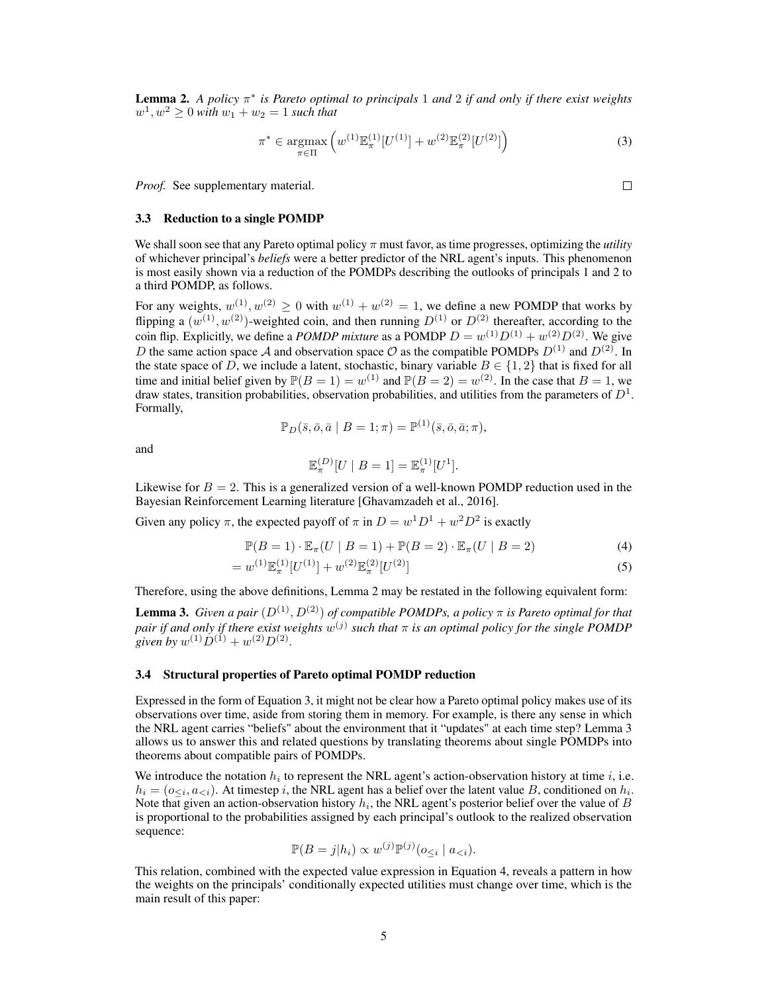Lemma 2. *A policy* π ∗ *is Pareto optimal to principals* 1 *and* 2 *if and only if there exist weights*  $w^1, w^2 \ge 0$  with  $w_1 + w_2 = 1$  *such that* 

$$
\pi^* \in \underset{\pi \in \Pi}{\text{argmax}} \left( w^{(1)} \mathbb{E}_{\pi}^{(1)} [U^{(1)}] + w^{(2)} \mathbb{E}_{\pi}^{(2)} [U^{(2)}] \right) \tag{3}
$$

*Proof.* See supplementary material.

#### 3.3 Reduction to a single POMDP

We shall soon see that any Pareto optimal policy  $\pi$  must favor, as time progresses, optimizing the *utility* of whichever principal's *beliefs* were a better predictor of the NRL agent's inputs. This phenomenon is most easily shown via a reduction of the POMDPs describing the outlooks of principals 1 and 2 to a third POMDP, as follows.

For any weights,  $w^{(1)}$ ,  $w^{(2)} \ge 0$  with  $w^{(1)} + w^{(2)} = 1$ , we define a new POMDP that works by flipping a  $(w^{(1)}, w^{(2)})$ -weighted coin, and then running  $D^{(1)}$  or  $D^{(2)}$  thereafter, according to the coin flip. Explicitly, we define a *POMDP mixture* as a POMDP  $D = w^{(1)}D^{(1)} + w^{(2)}D^{(2)}$ . We give D the same action space A and observation space O as the compatible POMDPs  $D^{(1)}$  and  $D^{(2)}$ . In the state space of D, we include a latent, stochastic, binary variable  $B \in \{1,2\}$  that is fixed for all time and initial belief given by  $\mathbb{P}(B = 1) = w^{(1)}$  and  $\mathbb{P}(B = 2) = w^{(2)}$ . In the case that  $B = 1$ , we draw states, transition probabilities, observation probabilities, and utilities from the parameters of  $D^1$ . Formally,

$$
\mathbb{P}_D(\bar{s}, \bar{o}, \bar{a} \mid B = 1; \pi) = \mathbb{P}^{(1)}(\bar{s}, \bar{o}, \bar{a}; \pi),
$$

and

$$
\mathbb{E}_{\pi}^{(D)}[U \mid B = 1] = \mathbb{E}_{\pi}^{(1)}[U^{1}].
$$

Likewise for  $B = 2$ . This is a generalized version of a well-known POMDP reduction used in the Bayesian Reinforcement Learning literature [Ghavamzadeh et al., 2016].

Given any policy  $\pi$ , the expected payoff of  $\pi$  in  $D = w^1 D^1 + w^2 D^2$  is exactly

$$
\mathbb{P}(B=1) \cdot \mathbb{E}_{\pi}(U \mid B=1) + \mathbb{P}(B=2) \cdot \mathbb{E}_{\pi}(U \mid B=2)
$$
\n(4)

$$
=w^{(1)}\mathbb{E}_{\pi}^{(1)}[U^{(1)}]+w^{(2)}\mathbb{E}_{\pi}^{(2)}[U^{(2)}]
$$
\n(5)

Therefore, using the above definitions, Lemma 2 may be restated in the following equivalent form:

**Lemma 3.** *Given a pair*  $(D^{(1)}, D^{(2)})$  *of compatible POMDPs, a policy*  $\pi$  *is Pareto optimal for that* pair if and only if there exist weights  $w^{(j)}$  such that  $\pi$  is an optimal policy for the single POMDP *given by*  $w^{(1)}D^{(1)} + w^{(2)}D^{(2)}$ .

#### 3.4 Structural properties of Pareto optimal POMDP reduction

Expressed in the form of Equation 3, it might not be clear how a Pareto optimal policy makes use of its observations over time, aside from storing them in memory. For example, is there any sense in which the NRL agent carries "beliefs" about the environment that it "updates" at each time step? Lemma 3 allows us to answer this and related questions by translating theorems about single POMDPs into theorems about compatible pairs of POMDPs.

We introduce the notation  $h_i$  to represent the NRL agent's action-observation history at time i, i.e.  $h_i = (o_{\leq i}, a_{\leq i})$ . At timestep i, the NRL agent has a belief over the latent value B, conditioned on  $h_i$ . Note that given an action-observation history  $h_i$ , the NRL agent's posterior belief over the value of  $B$ is proportional to the probabilities assigned by each principal's outlook to the realized observation sequence:

$$
\mathbb{P}(B = j|h_i) \propto w^{(j)} \mathbb{P}^{(j)}(o_{\leq i} \mid a_{\leq i}).
$$

This relation, combined with the expected value expression in Equation 4, reveals a pattern in how the weights on the principals' conditionally expected utilities must change over time, which is the main result of this paper:

 $\Box$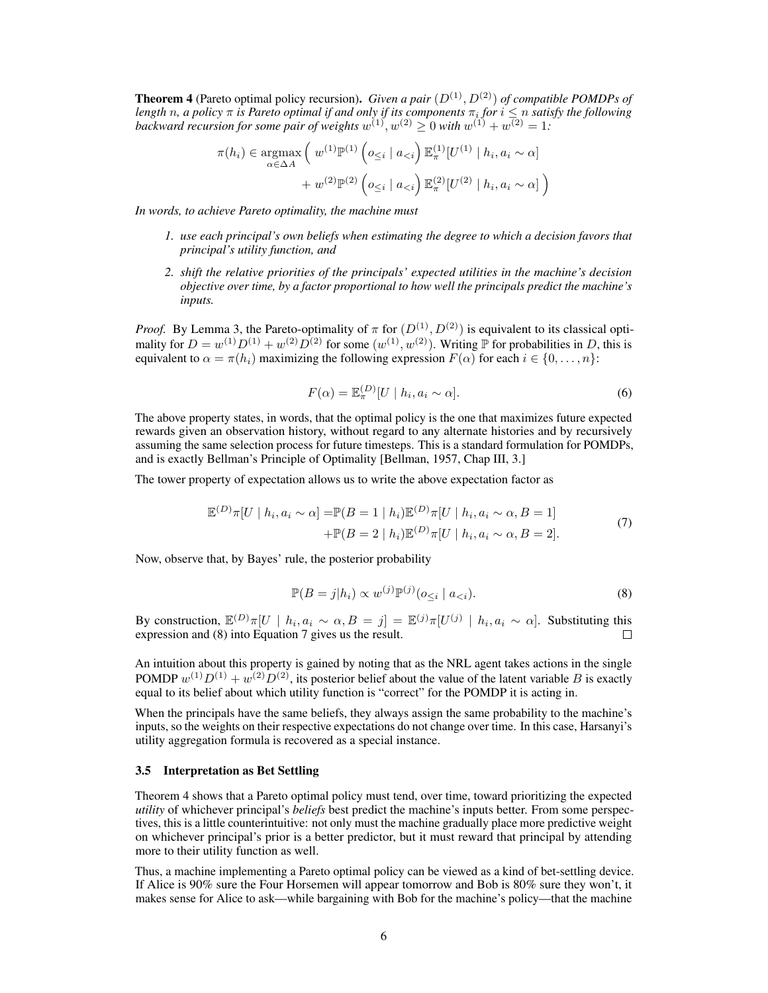**Theorem 4** (Pareto optimal policy recursion). *Given a pair*  $(D^{(1)}, D^{(2)})$  *of compatible POMDPs of length* n, a policy  $\pi$  is Pareto optimal if and only if its components  $\pi_i$  for  $i \leq n$  satisfy the following backward recursion for some pair of weights  $w^{(1)}$ ,  $w^{(2)} \geq 0$  with  $w^{(1)} + w^{(2)} = 1$ :

$$
\pi(h_i) \in \underset{\alpha \in \Delta A}{\text{argmax}} \left( w^{(1)} \mathbb{P}^{(1)} \left( o_{\leq i} \mid a_{
$$

*In words, to achieve Pareto optimality, the machine must*

- *1. use each principal's own beliefs when estimating the degree to which a decision favors that principal's utility function, and*
- *2. shift the relative priorities of the principals' expected utilities in the machine's decision objective over time, by a factor proportional to how well the principals predict the machine's inputs.*

*Proof.* By Lemma 3, the Pareto-optimality of  $\pi$  for  $(D^{(1)}, D^{(2)})$  is equivalent to its classical optimality for  $D = w^{(1)}D^{(1)} + w^{(2)}D^{(2)}$  for some  $(w^{(1)}, w^{(2)})$ . Writing  $\mathbb P$  for probabilities in D, this is equivalent to  $\alpha = \pi(h_i)$  maximizing the following expression  $F(\alpha)$  for each  $i \in \{0, \dots, n\}$ :

$$
F(\alpha) = \mathbb{E}_{\pi}^{(D)}[U \mid h_i, a_i \sim \alpha].
$$
\n(6)

The above property states, in words, that the optimal policy is the one that maximizes future expected rewards given an observation history, without regard to any alternate histories and by recursively assuming the same selection process for future timesteps. This is a standard formulation for POMDPs, and is exactly Bellman's Principle of Optimality [Bellman, 1957, Chap III, 3.]

The tower property of expectation allows us to write the above expectation factor as

$$
\mathbb{E}^{(D)}\pi[U \mid h_i, a_i \sim \alpha] = \mathbb{P}(B = 1 \mid h_i)\mathbb{E}^{(D)}\pi[U \mid h_i, a_i \sim \alpha, B = 1]
$$
  
 
$$
+ \mathbb{P}(B = 2 \mid h_i)\mathbb{E}^{(D)}\pi[U \mid h_i, a_i \sim \alpha, B = 2].
$$
 (7)

Now, observe that, by Bayes' rule, the posterior probability

$$
\mathbb{P}(B=j|h_i) \propto w^{(j)} \mathbb{P}^{(j)}(o_{\leq i} \mid a_{\n(8)
$$

By construction,  $\mathbb{E}^{(D)}\pi[U \mid h_i, a_i \sim \alpha, B = j] = \mathbb{E}^{(j)}\pi[U^{(j)} \mid h_i, a_i \sim \alpha]$ . Substituting this expression and (8) into Equation 7 gives us the result.  $\Box$ 

An intuition about this property is gained by noting that as the NRL agent takes actions in the single POMDP  $w^{(1)}D^{(1)} + w^{(2)}D^{(2)}$ , its posterior belief about the value of the latent variable B is exactly equal to its belief about which utility function is "correct" for the POMDP it is acting in.

When the principals have the same beliefs, they always assign the same probability to the machine's inputs, so the weights on their respective expectations do not change over time. In this case, Harsanyi's utility aggregation formula is recovered as a special instance.

## 3.5 Interpretation as Bet Settling

Theorem 4 shows that a Pareto optimal policy must tend, over time, toward prioritizing the expected *utility* of whichever principal's *beliefs* best predict the machine's inputs better. From some perspectives, this is a little counterintuitive: not only must the machine gradually place more predictive weight on whichever principal's prior is a better predictor, but it must reward that principal by attending more to their utility function as well.

Thus, a machine implementing a Pareto optimal policy can be viewed as a kind of bet-settling device. If Alice is 90% sure the Four Horsemen will appear tomorrow and Bob is 80% sure they won't, it makes sense for Alice to ask—while bargaining with Bob for the machine's policy—that the machine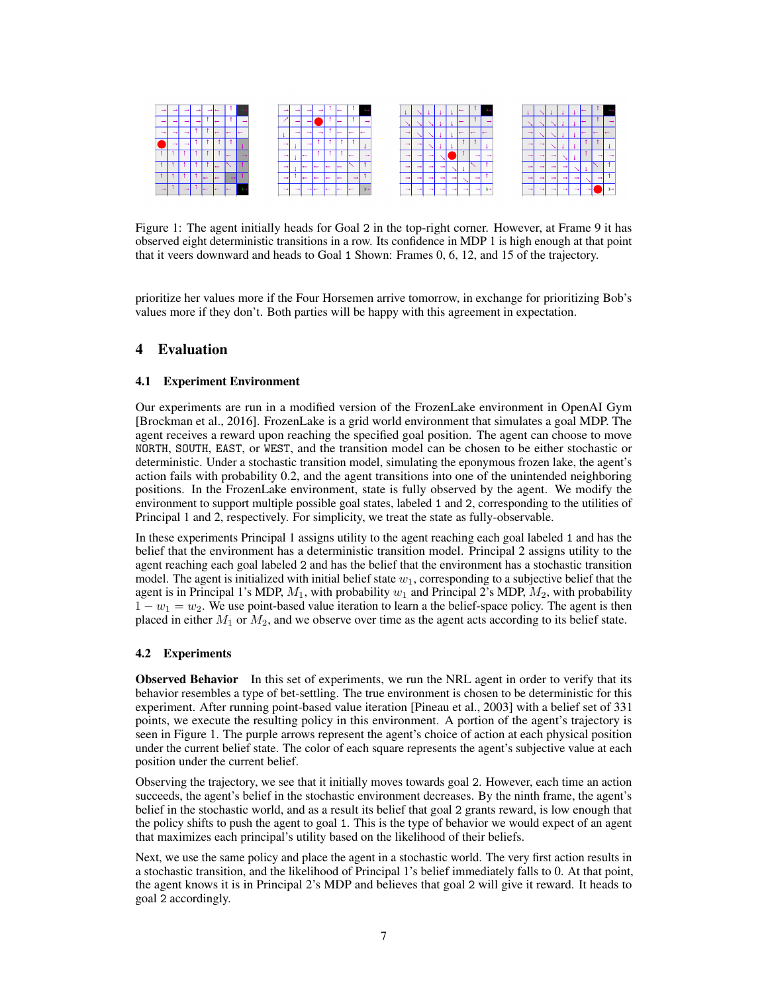

Figure 1: The agent initially heads for Goal 2 in the top-right corner. However, at Frame 9 it has observed eight deterministic transitions in a row. Its confidence in MDP 1 is high enough at that point that it veers downward and heads to Goal 1 Shown: Frames 0, 6, 12, and 15 of the trajectory.

prioritize her values more if the Four Horsemen arrive tomorrow, in exchange for prioritizing Bob's values more if they don't. Both parties will be happy with this agreement in expectation.

# 4 Evaluation

## 4.1 Experiment Environment

Our experiments are run in a modified version of the FrozenLake environment in OpenAI Gym [Brockman et al., 2016]. FrozenLake is a grid world environment that simulates a goal MDP. The agent receives a reward upon reaching the specified goal position. The agent can choose to move NORTH, SOUTH, EAST, or WEST, and the transition model can be chosen to be either stochastic or deterministic. Under a stochastic transition model, simulating the eponymous frozen lake, the agent's action fails with probability 0.2, and the agent transitions into one of the unintended neighboring positions. In the FrozenLake environment, state is fully observed by the agent. We modify the environment to support multiple possible goal states, labeled 1 and 2, corresponding to the utilities of Principal 1 and 2, respectively. For simplicity, we treat the state as fully-observable.

In these experiments Principal 1 assigns utility to the agent reaching each goal labeled 1 and has the belief that the environment has a deterministic transition model. Principal 2 assigns utility to the agent reaching each goal labeled 2 and has the belief that the environment has a stochastic transition model. The agent is initialized with initial belief state  $w_1$ , corresponding to a subjective belief that the agent is in Principal 1's MDP,  $M_1$ , with probability  $w_1$  and Principal 2's MDP,  $M_2$ , with probability  $1 - w_1 = w_2$ . We use point-based value iteration to learn a the belief-space policy. The agent is then placed in either  $M_1$  or  $M_2$ , and we observe over time as the agent acts according to its belief state.

## 4.2 Experiments

Observed Behavior In this set of experiments, we run the NRL agent in order to verify that its behavior resembles a type of bet-settling. The true environment is chosen to be deterministic for this experiment. After running point-based value iteration [Pineau et al., 2003] with a belief set of 331 points, we execute the resulting policy in this environment. A portion of the agent's trajectory is seen in Figure 1. The purple arrows represent the agent's choice of action at each physical position under the current belief state. The color of each square represents the agent's subjective value at each position under the current belief.

Observing the trajectory, we see that it initially moves towards goal 2. However, each time an action succeeds, the agent's belief in the stochastic environment decreases. By the ninth frame, the agent's belief in the stochastic world, and as a result its belief that goal 2 grants reward, is low enough that the policy shifts to push the agent to goal 1. This is the type of behavior we would expect of an agent that maximizes each principal's utility based on the likelihood of their beliefs.

Next, we use the same policy and place the agent in a stochastic world. The very first action results in a stochastic transition, and the likelihood of Principal 1's belief immediately falls to 0. At that point, the agent knows it is in Principal 2's MDP and believes that goal 2 will give it reward. It heads to goal 2 accordingly.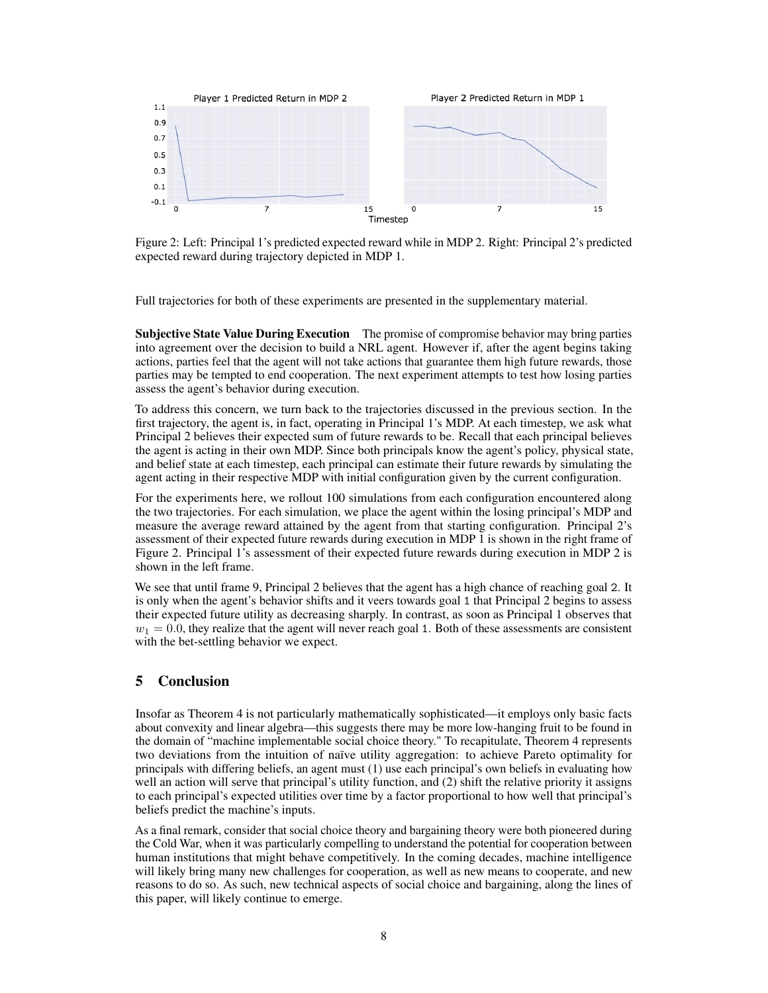

Figure 2: Left: Principal 1's predicted expected reward while in MDP 2. Right: Principal 2's predicted expected reward during trajectory depicted in MDP 1.

Full trajectories for both of these experiments are presented in the supplementary material.

**Subjective State Value During Execution** The promise of compromise behavior may bring parties into agreement over the decision to build a NRL agent. However if, after the agent begins taking actions, parties feel that the agent will not take actions that guarantee them high future rewards, those parties may be tempted to end cooperation. The next experiment attempts to test how losing parties assess the agent's behavior during execution.

To address this concern, we turn back to the trajectories discussed in the previous section. In the first trajectory, the agent is, in fact, operating in Principal 1's MDP. At each timestep, we ask what Principal 2 believes their expected sum of future rewards to be. Recall that each principal believes the agent is acting in their own MDP. Since both principals know the agent's policy, physical state, and belief state at each timestep, each principal can estimate their future rewards by simulating the agent acting in their respective MDP with initial configuration given by the current configuration.

For the experiments here, we rollout 100 simulations from each configuration encountered along the two trajectories. For each simulation, we place the agent within the losing principal's MDP and measure the average reward attained by the agent from that starting configuration. Principal 2's assessment of their expected future rewards during execution in MDP 1 is shown in the right frame of Figure 2. Principal 1's assessment of their expected future rewards during execution in MDP 2 is shown in the left frame.

We see that until frame 9, Principal 2 believes that the agent has a high chance of reaching goal 2. It is only when the agent's behavior shifts and it veers towards goal 1 that Principal 2 begins to assess their expected future utility as decreasing sharply. In contrast, as soon as Principal 1 observes that  $w_1 = 0.0$ , they realize that the agent will never reach goal 1. Both of these assessments are consistent with the bet-settling behavior we expect.

# 5 Conclusion

Insofar as Theorem 4 is not particularly mathematically sophisticated—it employs only basic facts about convexity and linear algebra—this suggests there may be more low-hanging fruit to be found in the domain of "machine implementable social choice theory." To recapitulate, Theorem 4 represents two deviations from the intuition of naïve utility aggregation: to achieve Pareto optimality for principals with differing beliefs, an agent must (1) use each principal's own beliefs in evaluating how well an action will serve that principal's utility function, and (2) shift the relative priority it assigns to each principal's expected utilities over time by a factor proportional to how well that principal's beliefs predict the machine's inputs.

As a final remark, consider that social choice theory and bargaining theory were both pioneered during the Cold War, when it was particularly compelling to understand the potential for cooperation between human institutions that might behave competitively. In the coming decades, machine intelligence will likely bring many new challenges for cooperation, as well as new means to cooperate, and new reasons to do so. As such, new technical aspects of social choice and bargaining, along the lines of this paper, will likely continue to emerge.